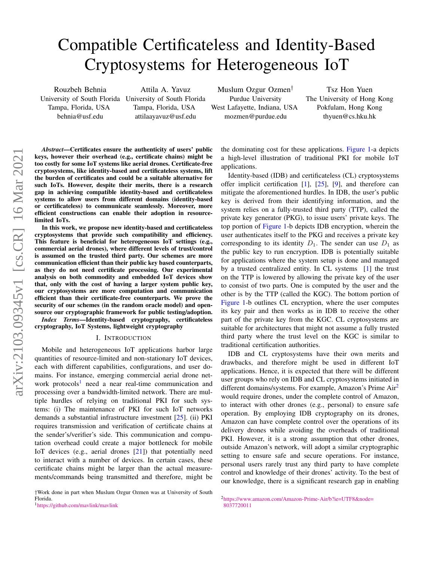# <span id="page-0-0"></span>Compatible Certificateless and Identity-Based Cryptosystems for Heterogeneous IoT

Rouzbeh Behnia University of South Florida University of South Florida Tampa, Florida, USA behnia@usf.edu

Attila A. Yavuz Tampa, Florida, USA attilaayavuz@usf.edu

Muslum Ozgur Ozmen† Purdue University West Lafayette, Indiana, USA mozmen@purdue.edu

Tsz Hon Yuen The University of Hong Kong Pokfulam, Hong Kong thyuen@cs.hku.hk

*Abstract*—Certificates ensure the authenticity of users' public keys, however their overhead (e.g., certificate chains) might be too costly for some IoT systems like aerial drones. Certificate-free cryptosystems, like identity-based and certificateless systems, lift the burden of certificates and could be a suitable alternative for such IoTs. However, despite their merits, there is a research gap in achieving compatible identity-based and certificateless systems to allow users from different domains (identity-based or certificateless) to communicate seamlessly. Moreover, more efficient constructions can enable their adoption in resourcelimited IoTs.

In this work, we propose new identity-based and certificateless cryptosystems that provide such compatibility and efficiency. This feature is beneficial for heterogeneous IoT settings (e.g., commercial aerial drones), where different levels of trust/control is assumed on the trusted third party. Our schemes are more communication efficient than their public key based counterparts, as they do not need certificate processing. Our experimental analysis on both commodity and embedded IoT devices show that, only with the cost of having a larger system public key, our cryptosystems are more computation and communication efficient than their certificate-free counterparts. We prove the security of our schemes (in the random oracle model) and opensource our cryptographic framework for public testing/adoption. *Index Terms*—Identity-based cryptography, certificateless

cryptography, IoT Systems, lightweight cryptography

## I. INTRODUCTION

Mobile and heterogeneous IoT applications harbor large quantities of resource-limited and non-stationary IoT devices, each with different capabilities, configurations, and user domains. For instance, emerging commercial aerial drone network protocols<sup>1</sup> need a near real-time communication and processing over a bandwidth-limited network. There are multiple hurdles of relying on traditional PKI for such systems: (i) The maintenance of PKI for such IoT networks demands a substantial infrastructure investment [\[25\]](#page-10-0). (ii) PKI requires transmission and verification of certificate chains at the sender's/verifier's side. This communication and computation overhead could create a major bottleneck for mobile IoT devices (e.g., aerial drones [\[21\]](#page-10-1)) that potentially need to interact with a number of devices. In certain cases, these certificate chains might be larger than the actual measurements/commands being transmitted and therefore, might be

<sup>1</sup><https://github.com/mavlink/mavlink>

the dominating cost for these applications. [Figure 1-](#page-1-0)a depicts a high-level illustration of traditional PKI for mobile IoT applications.

Identity-based (IDB) and certificateless (CL) cryptosystems offer implicit certification [\[1\]](#page-10-2), [\[25\]](#page-10-0), [\[9\]](#page-10-3), and therefore can mitigate the aforementioned hurdles. In IDB, the user's public key is derived from their identifying information, and the system relies on a fully-trusted third party (TTP), called the private key generator (PKG), to issue users' private keys. The top portion of [Figure 1-](#page-1-0)b depicts IDB encryption, wherein the user authenticates itself to the PKG and receives a private key corresponding to its identity  $D_1$ . The sender can use  $D_1$  as the public key to run encryption. IDB is potentially suitable for applications where the system setup is done and managed by a trusted centralized entity. In CL systems [\[1\]](#page-10-2) the trust on the TTP is lowered by allowing the private key of the user to consist of two parts. One is computed by the user and the other is by the TTP (called the KGC). The bottom portion of [Figure 1-](#page-1-0)b outlines CL encryption, where the user computes its key pair and then works as in IDB to receive the other part of the private key from the KGC. CL cryptosystems are suitable for architectures that might not assume a fully trusted third party where the trust level on the KGC is similar to traditional certification authorities.

IDB and CL cryptosystems have their own merits and drawbacks, and therefore might be used in different IoT applications. Hence, it is expected that there will be different user groups who rely on IDB and CL cryptosystems initiated in different domains/systems. For example, Amazon's Prime Air<sup>2</sup> would require drones, under the complete control of Amazon, to interact with other drones (e.g., personal) to ensure safe operation. By employing IDB cryptography on its drones, Amazon can have complete control over the operations of its delivery drones while avoiding the overheads of traditional PKI. However, it is a strong assumption that other drones, outside Amazon's network, will adopt a similar cryptographic setting to ensure safe and secure operations. For instance, personal users rarely trust any third party to have complete control and knowledge of their drones' activity. To the best of our knowledge, there is a significant research gap in enabling

<sup>†</sup>Work done in part when Muslum Ozgur Ozmen was at University of South Florida.

<sup>2</sup>[https://www.amazon.com/Amazon-Prime-Air/b?ie=UTF8&node=](https://www.amazon.com/Amazon-Prime-Air/b?ie=UTF8&node=8037720011) [8037720011](https://www.amazon.com/Amazon-Prime-Air/b?ie=UTF8&node=8037720011)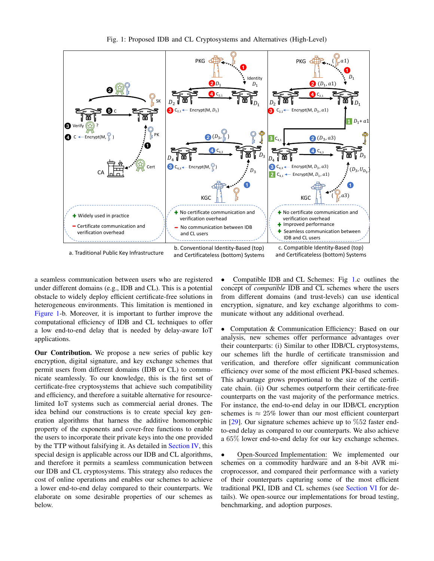Fig. 1: Proposed IDB and CL Cryptosystems and Alternatives (High-Level)

<span id="page-1-0"></span>

a seamless communication between users who are registered under different domains (e.g., IDB and CL). This is a potential obstacle to widely deploy efficient certificate-free solutions in heterogeneous environments. This limitation is mentioned in [Figure 1-](#page-1-0)b. Moreover, it is important to further improve the computational efficiency of IDB and CL techniques to offer a low end-to-end delay that is needed by delay-aware IoT applications.

Our Contribution. We propose a new series of public key encryption, digital signature, and key exchange schemes that permit users from different domains (IDB or CL) to communicate seamlessly. To our knowledge, this is the first set of certificate-free cryptosystems that achieve such compatibility and efficiency, and therefore a suitable alternative for resourcelimited IoT systems such as commercial aerial drones. The idea behind our constructions is to create special key generation algorithms that harness the additive homomorphic property of the exponents and cover-free functions to enable the users to incorporate their private keys into the one provided by the TTP without falsifying it. As detailed in [Section IV,](#page-3-0) this special design is applicable across our IDB and CL algorithms, and therefore it permits a seamless communication between our IDB and CL cryptosystems. This strategy also reduces the cost of online operations and enables our schemes to achieve a lower end-to-end delay compared to their counterparts. We elaborate on some desirable properties of our schemes as below.

• Compatible IDB and CL Schemes: Fig [1.](#page-1-0)c outlines the concept of *compatible* IDB and CL schemes where the users from different domains (and trust-levels) can use identical encryption, signature, and key exchange algorithms to communicate without any additional overhead.

• Computation & Communication Efficiency: Based on our analysis, new schemes offer performance advantages over their counterparts: (i) Similar to other IDB/CL cryptosystems, our schemes lift the hurdle of certificate transmission and verification, and therefore offer significant communication efficiency over some of the most efficient PKI-based schemes. This advantage grows proportional to the size of the certificate chain. (ii) Our schemes outperform their certificate-free counterparts on the vast majority of the performance metrics. For instance, the end-to-end delay in our IDB/CL encryption schemes is  $\approx 25\%$  lower than our most efficient counterpart in [\[29\]](#page-11-0). Our signature schemes achieve up to %52 faster endto-end delay as compared to our counterparts. We also achieve a 65% lower end-to-end delay for our key exchange schemes.

• Open-Sourced Implementation: We implemented our schemes on a commodity hardware and an 8-bit AVR microprocessor, and compared their performance with a variety of their counterparts capturing some of the most efficient traditional PKI, IDB and CL schemes (see [Section VI](#page-7-0) for details). We open-source our implementations for broad testing, benchmarking, and adoption purposes.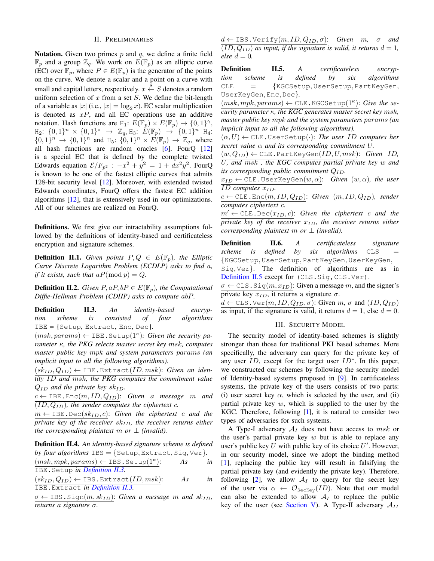## II. PRELIMINARIES

**Notation.** Given two primes  $p$  and  $q$ , we define a finite field  $\mathbb{F}_p$  and a group  $\mathbb{Z}_q$ . We work on  $E(\mathbb{F}_p)$  as an elliptic curve (EC) over  $\mathbb{F}_p$ , where  $P \in E(\mathbb{F}_p)$  is the generator of the points on the curve. We denote a scalar and a point on a curve with small and capital letters, respectively.  $x \stackrel{\$}{\leftarrow} S$  denotes a random uniform selection of  $x$  from a set  $S$ . We define the bit-length of a variable as  $|x|$  (i.e.,  $|x| = \log_2 x$ ). EC scalar multiplication is denoted as  $xP$ , and all EC operations use an additive notation. Hash functions are  $H_1: E(\mathbb{F}_p) \times E(\mathbb{F}_p) \to \{0,1\}^{\gamma}$ ,  $\text{H}_2$ :  $\{0,1\}^n \times \{0,1\}^* \rightarrow \mathbb{Z}_q$ ,  $\text{H}_3$ :  $E(\mathbb{F}_p) \rightarrow \{0,1\}^n$   $\text{H}_4$ :  $\{0,1\}^n \rightarrow \{0,1\}^n$  and  $H_5$ :  $\{0,1\}^n \times E(\mathbb{F}_p) \rightarrow \mathbb{Z}_q$ , where all hash functions are random oracles [\[6\]](#page-10-4). FourQ [\[12\]](#page-10-5) is a special EC that is defined by the complete twisted Edwards equation  $\mathcal{E}/F_{p^2}$ :  $-x^2 + y^2 = 1 + dx^2y^2$ . FourQ is known to be one of the fastest elliptic curves that admits 128-bit security level [\[12\]](#page-10-5). Moreover, with extended twisted Edwards coordinates, FourQ offers the fastest EC addition algorithms [\[12\]](#page-10-5), that is extensively used in our optimizations. All of our schemes are realized on FourQ.

Definitions. We first give our intractability assumptions followed by the definitions of identity-based and certificateless encryption and signature schemes.

**Definition II.1.** *Given points*  $P, Q \in E(\mathbb{F}_p)$ *, the Elliptic Curve Discrete Logarithm Problem (ECDLP) asks to find* a*, if it exists, such that*  $aP(\text{mod }p) = Q$ .

**Definition II.2.** *Given*  $P, aP, bP \in E(\mathbb{F}_p)$ *, the Computational Diffie-Hellman Problem (CDHP) asks to compute* abP*.*

<span id="page-2-0"></span>Definition II.3. *An identity-based encryption scheme is consisted of four algorithms* IBE = {Setup, Extract, Enc, Dec}*.*

 $(msk,params) \leftarrow \text{IBE}\text{.}\text{Setup}(1<sup>\kappa</sup>)$ *: Given the security parameter* κ*, the PKG selects master secret key* msk*, computes master public key* mpk *and system parameters* params *(an implicit input to all the following algorithms).*

 $(sk_{ID}, Q_{ID}) \leftarrow$  IBE. Extract(*ID*, msk): Given an iden*tity* ID *and* msk*, the PKG computes the commitment value*  $Q_{ID}$  *and the private key sk<sub>ID</sub>.* 

 $c \leftarrow \text{IBE.Fnc}(m, ID, Q_{ID})$ : *Given a message m and*  $\overline{(ID, Q_{ID})}$ , the sender computes the ciphertext c.

 $m \leftarrow \text{IBE.Dec}(sk_{ID}, c)$ : *Given the ciphertext c and the private key of the receiver sk<sub>ID</sub>, the receiver returns either the corresponding plaintext*  $m$  *or*  $\perp$  *(invalid).* 

**Definition II.4.** An identity-based signature scheme is defined by four algorithms 
$$
IBS = \{Setup, Extract, Sig, Ver\}.
$$

 $(msk, mpk, params) \leftarrow \text{IBS}\text{.}\text{Setup}(1^{\kappa})$ : ): *As in* IBE.Setup *in [Definition II.3.](#page-2-0)*

 $(sk_{ID}, Q_{ID}) \leftarrow \text{IBS.Extract}(ID, msk):$  *As in* IBE.Extract *in [Definition II.3.](#page-2-0)*

 $\sigma \leftarrow \text{IBS.Sign}(m, sk_{ID})$ : *Given a message m and sk<sub>ID</sub>*, *returns a signature* σ*.*

 $d \leftarrow \text{IBS.Verify}(m, ID, Q_{ID}, \sigma)$ : *Given*  $m$ ,  $\sigma$  and  $\overline{(ID,Q_{ID})}$  *as input, if the signature is valid, it returns*  $d=1$ ,  $else d = 0.$ 

<span id="page-2-1"></span>Definition II.5. *A certificateless encryption scheme is defined by six algorithms* CLE = {KGCSetup, UserSetup, PartKeyGen, UserKeyGen, Enc, Dec}*.*

 $(msk, mpk, params) \leftarrow \text{CLE}.$  KGCSetup( $1^{\kappa}$ ): Give the se*curity parameter* κ*, the KGC generates master secret key* msk*, master public key* mpk *and the system parameters* params *(an implicit input to all the following algorithms).*

 $(\alpha, U) \leftarrow \text{CLE.UserSetup}(\cdot):$  *The user ID computes her*  $s$ *ecret value*  $\alpha$  *and its corresponding commitment U.* 

 $(w, Q_{ID}) \leftarrow \text{CLE.PartKeyGen}(ID, U, msk): Given ID,$ U*, and* msk *, the KGC computes partial private key* w *and its corresponding public commitment*  $Q_{ID}$ *.* 

 $x_{ID} \leftarrow$  CLE.UserKeyGen $(w, \alpha)$ : *Given*  $(w, \alpha)$ *, the user*  $\overline{ID}$  *computes*  $x_{ID}$ *.* 

 $c \leftarrow \text{CLE.Fnc}(m, ID, Q_{ID})$ : *Given*  $(m, ID, Q_{ID})$ *, sender computes ciphertext* c*.*

 $m' \leftarrow \text{CLE.Dec}(x_{ID}, c)$ : *Given the ciphertext c and the private key of the receiver*  $x_{ID}$ *, the receiver returns either corresponding plaintext*  $m$  *or*  $\perp$  *(invalid).* 

Definition II.6. *A certificateless signature scheme is defined by six algorithms* CLS = {KGCSetup, UserSetup, PartKeyGen, UserKeyGen,

Sig, Ver}. The definition of algorithms are as in [Definition II.5](#page-2-1) except for (CLS.Sig, CLS.Ver).

 $\sigma \leftarrow CLS$ . Sig $(m, x_{ID})$ : Given a message m, and the signer's private key  $x_{ID}$ , it returns a signature  $\sigma$ .

 $d \leftarrow \text{CLS}.\text{Ver}(m, ID, Q_{ID}, \sigma)$ : Given  $m, \sigma$  and  $(ID, Q_{ID})$ as input, if the signature is valid, it returns  $d = 1$ , else  $d = 0$ .

#### III. SECURITY MODEL

The security model of identity-based schemes is slightly stronger than those for traditional PKI based schemes. More specifically, the adversary can query for the private key of any user  $ID$ , except for the target user  $ID^*$ . In this paper, we constructed our schemes by following the security model of Identity-based systems proposed in [\[9\]](#page-10-3). In certificateless systems, the private key of the users consists of two parts: (i) user secret key  $\alpha$ , which is selected by the user, and (ii) partial private key  $w$ , which is supplied to the user by the KGC. Therefore, following [\[1\]](#page-10-2), it is natural to consider two types of adversaries for such systems.

A Type-I adversary  $A_I$  does not have access to msk or the user's partial private key  $w$  but is able to replace any user's public key  $U$  with public key of its choice  $U'$ . However, in our security model, since we adopt the binding method [\[1\]](#page-10-2), replacing the public key will result in falsifying the partial private key (and evidently the private key). Therefore, following [\[2\]](#page-10-6), we allow  $A_I$  to query for the secret key of the user via  $\alpha \leftarrow \mathcal{O}_{\text{SecKey}}(ID)$ . Note that our model can also be extended to allow  $A_I$  to replace the public key of the user (see [Section V\)](#page-4-0). A Type-II adversary  $A_{II}$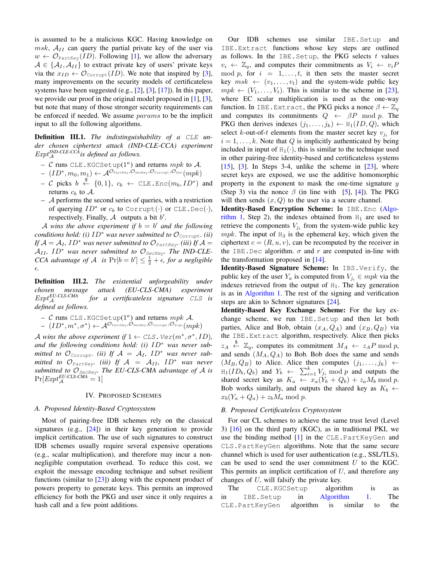is assumed to be a malicious KGC. Having knowledge on  $msk$ ,  $A_{II}$  can query the partial private key of the user via  $w \leftarrow \mathcal{O}_{\text{PartKey}}(ID)$ . Following [\[1\]](#page-10-2), we allow the adversary  $A \in \{A_I, A_{II}\}\$ to extract private key of users' private keys via the  $x_{ID} \leftarrow \mathcal{O}_{\text{Corrupt}}(ID)$ . We note that inspired by [\[3\]](#page-10-7), many improvements on the security models of certificateless systems have been suggested (e.g., [\[2\]](#page-10-6), [\[3\]](#page-10-7), [\[17\]](#page-10-8)). In this paper, we provide our proof in the original model proposed in [\[1\]](#page-10-2), [\[3\]](#page-10-7), but note that many of those stronger security requirements can be enforced if needed. We assume *params* to be the implicit input to all the following algorithms.

<span id="page-3-1"></span>Definition III.1. *The indistinguishability of a* CLE *under chosen ciphertext attack (IND-CLE-CCA) experiment*  $Expt_{\mathcal{A}}^{IND-CLE-CC\bar{A}}$  *is defined as follows.* 

- C runs CLE.KGCSetup( $1^{\kappa}$ ) and returns  $mpk$  to A.
- $\,\, (ID^*, m_0, m_1) \leftarrow \mathcal{A}^{\mathcal{O}_\text{\tiny{PartKey}} , \mathcal{O}_\text{\tiny{SecKey}} , \mathcal{O}_\text{\tiny{Corrupt}} , \mathcal{O}_\text{\tiny{Dec}}}(mpk)$
- $-$  C picks  $b \stackrel{\$}{\leftarrow} \{0,1\}, \; c_b \; \leftarrow \; \texttt{CLE} \, . \, \texttt{Enc}(m_b, ID^*)$  and returns  $c_b$  to A.
- $-$  A performs the second series of queries, with a restriction of querying  $ID^*$  or  $c_b$  to Corrupt( $\cdot$ ) or CLE.Dec( $\cdot$ ), respectively. Finally,  $A$  outputs a bit  $b'$ .

A wins the above experiment if  $b = b'$  and the following *conditions hold: (i)*  $ID^*$  *was never submitted to*  $\mathcal{O}_{\text{Corrupt}}$ *. (ii)* If  $A = A_I$ ,  $ID^*$  was never submitted to  $\mathcal{O}_{PartKey}$ . (iii) If  $A =$  $A_{II}$ ,  $ID^*$  was never submitted to  $\mathcal{O}_{SecKey}$ . The IND-CLE-*CCA advantage of*  $\mathcal A$  *is*  $Pr[b = b'] \leq \frac{1}{2} + \epsilon$ *, for a negligible .*

<span id="page-3-2"></span>Definition III.2. *The existential unforgeability under chosen message attack (EU-CLS-CMA) experiment* Expt*EU-CLS-CMA* <sup>A</sup> *for a certificateless signature* CLS *is defined as follows.*

- C runs CLS.KGCSetup $(1^{\kappa})$  and returns  $mpk$  A.
- $\ \ (ID^*, m^*, \sigma^*) \leftarrow \mathcal{A}^{\mathcal{O}_{\mathrm{PartKey}}, \mathcal{O}_{\mathrm{SecKey}}, \mathcal{O}_{\mathrm{Corrupt}}, \mathcal{O}_{\mathrm{Sign}}}(mpk)$

A wins the above experiment if  $1 \leftarrow CLS$ .  $Ver(m^*, \sigma^*, ID)$ , *and the following conditions hold: (i)* ID<sup>∗</sup> *was never submitted to*  $\mathcal{O}_{\text{Corrupt}}$ *(ii)* If  $\mathcal{A} = \mathcal{A}_I$ *,*  $ID^*$  *was never submitted to*  $\mathcal{O}_{\text{PartKey}}$ *. (iii)* If  $\mathcal{A} = \mathcal{A}_{II}$ *,*  $ID^*$  *was never* submitted to  $\mathcal{O}_{\mathit{SecKey}}$ . The EU-CLS-CMA advantage of A is  $\Pr[Expt_{\mathcal{A}}^{EU-CLS-CMA} = 1]$ 

## IV. PROPOSED SCHEMES

## <span id="page-3-0"></span>*A. Proposed Identity-Based Cryptosystem*

Most of pairing-free IDB schemes rely on the classical signatures (e.g., [\[24\]](#page-10-9)) in their key generation to provide implicit certification. The use of such signatures to construct IDB schemes usually require several expensive operations (e.g., scalar multiplication), and therefore may incur a nonnegligible computation overhead. To reduce this cost, we exploit the message encoding technique and subset resilient functions (similar to  $[23]$ ) along with the exponent product of powers property to generate keys. This permits an improved efficiency for both the PKG and user since it only requires a hash call and a few point additions.

Our IDB schemes use similar IBE.Setup and IBE.Extract functions whose key steps are outlined as follows. In the IBE. Setup, the PKG selects  $t$  values  $v_i \leftarrow \mathbb{Z}_q$ , and computes their commitments as  $V_i \leftarrow v_i P$ mod p, for  $i = 1, \ldots, t$ , it then sets the master secret key  $msk \leftarrow (v_1, \ldots, v_t)$  and the system-wide public key  $mpk \leftarrow (V_1, \ldots, V_t)$ . This is similar to the scheme in [\[23\]](#page-10-10), where EC scalar multiplication is used as the one-way function. In IBE.Extract, the PKG picks a nonce  $\beta \leftarrow \mathbb{Z}_q$ and computes its commitments  $Q \leftarrow \beta P \mod p$ . The PKG then derives indexes  $(j_1, \ldots, j_k) \leftarrow H_1(ID, Q)$ , which select k-out-of-t elements from the master secret key  $v_{j_i}$  for  $i = 1, \ldots, k$ . Note that Q is implicitly authenticated by being included in input of  $H_1(\cdot)$ , this is similar to the technique used in other pairing-free identity-based and certificateless systems [\[15\]](#page-10-11), [\[3\]](#page-10-7). In Steps 3-4, unlike the scheme in  $[23]$ , where secret keys are exposed, we use the additive homomorphic property in the exponent to mask the one-time signature  $y$ (Step 3) via the nonce  $\beta$  (in line with [\[5\]](#page-10-12), [\[4\]](#page-10-13)). The PKG will then sends  $(x, Q)$  to the user via a secure channel.

Identity-Based Encryption Scheme: In IBE.Enc [\(Algo](#page-4-1)[rithm 1,](#page-4-1) Step 2), the indexes obtained from  $H_1$  are used to retrieve the components  $V_{j_i}$  from the system-wide public key  $mpk$ . The input of  $H_3$  is the ephemeral key, which given the ciphertext  $c = (R, u, v)$ , can be recomputed by the receiver in the IBE.Dec algorithm.  $\sigma$  and  $r$  are computed in-line with the transformation proposed in [\[14\]](#page-10-14).

Identity-Based Signature Scheme: In IBS.Verify, the public key of the user  $Y_a$  is computed from  $V_{j_i} \in mpk$  via the indexes retrieved from the output of  $H_1$ . The key generation is as in [Algorithm 1.](#page-4-1) The rest of the signing and verification steps are akin to Schnorr signatures [\[24\]](#page-10-9).

Identity-Based Key Exchange Scheme: For the key exchange scheme, we run IBE.Setup and then let both parties, Alice and Bob, obtain  $(x_A, Q_A)$  and  $(x_B, Q_B)$  via the IBE.Extract algorithm, respectively. Alice then picks  $z_A \stackrel{\$}{\leftarrow} \mathbb{Z}_q$ , computes its commitment  $M_A \leftarrow z_A P \bmod p$ , and sends  $(M_A, Q_A)$  to Bob. Bob does the same and sends  $(M_B, Q_B)$  to Alice. Alice then computes  $(j_1, \ldots, j_k) \leftarrow$  $H_1(ID_b, Q_b)$  and  $Y_b \leftarrow \sum_{i=1}^k V_{j_i} \text{ mod } p$  and outputs the shared secret key as  $K_a \leftarrow x_a(Y_b + Q_b) + z_a M_b \text{ mod } p.$ Bob works similarly, and outputs the shared key as  $K_b \leftarrow$  $x_b(Y_a + Q_a) + z_bM_a \text{ mod } p.$ 

# *B. Proposed Certificateless Cryptosystem*

For our CL schemes to achieve the same trust level (Level 3) [\[16\]](#page-10-15) on the third party (KGC), as in traditional PKI, we use the binding method [\[1\]](#page-10-2) in the CLE.PartKeyGen and CLS.PartKeyGen algorithms. Note that the same secure channel which is used for user authentication (e.g., SSL/TLS), can be used to send the user commitment  $U$  to the KGC. This permits an implicit certification of  $U$ , and therefore any changes of U, will falsify the private key.

| The | CLE.KGCSetup   |                      | algorithm        |  | 1S | <b>as</b> |
|-----|----------------|----------------------|------------------|--|----|-----------|
| in  | IBE.Setup      | $\mathbf{m}$         | <b>Algorithm</b> |  |    | The       |
|     | CLE.PartKeyGen | algorithm is similar |                  |  | to | the       |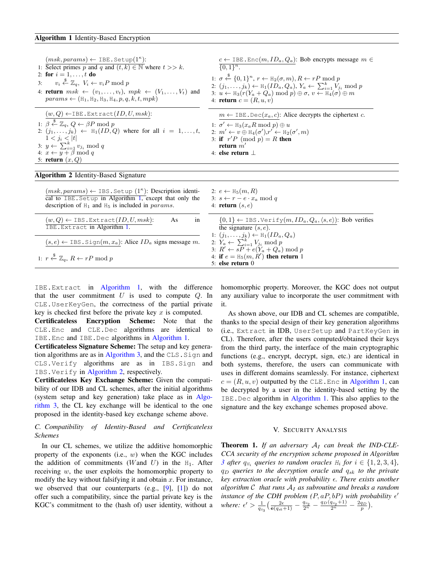## <span id="page-4-1"></span>Algorithm 1 Identity-Based Encryption

| $(msk,params) \leftarrow \text{IBE.Setup}(1^{\kappa})$ :<br>1: Select primes p and q and $(t, k) \in \overline{\mathbb{N}}$ where $t >> k$ .<br>2: for $i = 1, , t$ do<br>3: $v_i \stackrel{\$}{\leftarrow} \mathbb{Z}_q$ , $V_i \leftarrow v_i P \bmod p$<br>4: <b>return</b> $msk \leftarrow (v_1, \ldots, v_t)$ , $mpk \leftarrow (V_1, \ldots, V_t)$ and<br>$params \leftarrow (H_1, H_2, H_3, H_4, p, q, k, t, mpk)$ | $c \leftarrow$ IBE. Enc $(m, ID_a, Q_a)$ : Bob encrypts message $m \in$<br>$\{0,1\}^n$ .<br>1: $\sigma \stackrel{\$}{\leftarrow} \{0,1\}^n$ , $r \leftarrow H_2(\sigma, m)$ , $R \leftarrow rP \mod p$<br>2: $(j_1, \ldots, j_k) \leftarrow \text{H}_1(ID_a, Q_a), Y_a \leftarrow \sum_{i=1}^k V_{j_i} \text{ mod } p$<br>3: $u \leftarrow H_3(r(Y_a + Q_a) \mod p) \oplus \sigma$ , $v \leftarrow H_4(\sigma) \oplus m$ |
|---------------------------------------------------------------------------------------------------------------------------------------------------------------------------------------------------------------------------------------------------------------------------------------------------------------------------------------------------------------------------------------------------------------------------|--------------------------------------------------------------------------------------------------------------------------------------------------------------------------------------------------------------------------------------------------------------------------------------------------------------------------------------------------------------------------------------------------------------------------|
| $(w,Q) \leftarrow$ IBE.Extract $(ID, U, msk)$ :<br>1: $\beta \stackrel{\$}{\leftarrow} \mathbb{Z}_q$ , $Q \leftarrow \beta P \text{ mod } p$<br>2: $(j_1,\ldots,j_k) \leftarrow H_1(ID,Q)$ where for all $i=1,\ldots,t$ ,<br>$1 < i_i <  t $<br>3: $y \leftarrow \sum_{i=1}^{k} v_{j_i} \mod q$<br>4: $x \leftarrow y + \beta \mod q$<br>5: return $(x,Q)$                                                                | 4: <b>return</b> $c = (R, u, v)$<br>$m \leftarrow \text{IBE.Dec}(x_a, c)$ : Alice decrypts the ciphertext c.<br>1: $\sigma' \leftarrow H_3(x_a R \mod p) \oplus u$<br>2: $m' \leftarrow v \oplus H_4(\sigma'), r' \leftarrow H_2(\sigma', m)$<br>3: if $r'P \pmod{p} = R$ then<br>return $m'$<br>4: else return $\perp$                                                                                                  |
| <b>Algorithm 2</b> Identity-Rased Signature                                                                                                                                                                                                                                                                                                                                                                               |                                                                                                                                                                                                                                                                                                                                                                                                                          |

# <span id="page-4-2"></span> $\gamma$ gorithm 2 Identity-Based Signature

| $(msk,params) \leftarrow \text{IBS}\cdot \text{Setup}(1^{\kappa})$ : Description identi-<br>cal to $IBE$ . Setup in Algorithm 1, except that only the<br>description of $H_1$ and $H_5$ is included in <i>params</i> . | 2: $e \leftarrow H_5(m, R)$<br>3: $s \leftarrow r - e \cdot x_a \mod q$<br>4: return $(s, e)$                                                                                  |
|------------------------------------------------------------------------------------------------------------------------------------------------------------------------------------------------------------------------|--------------------------------------------------------------------------------------------------------------------------------------------------------------------------------|
| $(w, Q) \leftarrow \text{IBS.Extract}(ID, U, msk):$<br>$\sin$<br>As<br>IBE.Extract in Algorithm 1.                                                                                                                     | $\{0,1\} \leftarrow \text{IBS}.\text{Verify}(m, ID_a, Q_a, \langle s, e \rangle)$ : Bob verifies<br>the signature $(s, e)$ .<br>1: $(j_1,\ldots,j_k) \leftarrow H_1(ID_a,Q_a)$ |
| $(s, e) \leftarrow \text{IBS}.\text{Sign}(m, x_a):$ Alice $ID_a$ signs message m.                                                                                                                                      | 2: $Y_a \leftarrow \sum_{i=1}^k V_{j_i} \mod p$<br>3: $R' \leftarrow s\overline{P} + e(Y_a + Q_a) \bmod p$                                                                     |
| 1: $r \stackrel{\$}{\leftarrow} \mathbb{Z}_q$ , $R \leftarrow rP \mod p$                                                                                                                                               | 4: if $e = H_5(m, R')$ then return 1<br>$5:$ else return $0$                                                                                                                   |

IBE.Extract in [Algorithm 1,](#page-4-1) with the difference that the user commitment  $U$  is used to compute  $Q$ . In CLE.UserKeyGen, the correctness of the partial private key is checked first before the private key  $x$  is computed.

Certificateless Encryption Scheme: Note that the CLE.Enc and CLE.Dec algorithms are identical to IBE.Enc and IBE.Dec algorithms in [Algorithm 1.](#page-4-1)

Certificateless Signature Scheme: The setup and key generation algorithms are as in [Algorithm 3,](#page-5-0) and the CLS.Sign and CLS.Verify algorithms are as in IBS.Sign and IBS.Verify in [Algorithm 2,](#page-4-2) respectively.

Certificateless Key Exchange Scheme: Given the compatibility of our IDB and CL schemes, after the initial algorithms (system setup and key generation) take place as in [Algo](#page-5-0)[rithm 3,](#page-5-0) the CL key exchange will be identical to the one proposed in the identity-based key exchange scheme above.

## *C. Compatibility of Identity-Based and Certificateless Schemes*

In our CL schemes, we utilize the additive homomorphic property of the exponents (i.e.,  $w$ ) when the KGC includes the addition of commitments (Wand  $U$ ) in the  $H_1$ . After receiving  $w$ , the user exploits the homomorphic property to modify the key without falsifying it and obtain  $x$ . For instance, we observed that our counterparts  $(e.g., [9], [1])$  $(e.g., [9], [1])$  $(e.g., [9], [1])$  $(e.g., [9], [1])$  $(e.g., [9], [1])$  do not offer such a compatibility, since the partial private key is the KGC's commitment to the (hash of) user identity, without a

homomorphic property. Moreover, the KGC does not output any auxiliary value to incorporate the user commitment with it.

As shown above, our IDB and CL schemes are compatible, thanks to the special design of their key generation algorithms (i.e., Extract in IDB, UserSetup and PartKeyGen in CL). Therefore, after the users computed/obtained their keys from the third party, the interface of the main cryptographic functions (e.g., encrypt, decrypt, sign, etc.) are identical in both systems, therefore, the users can communicate with uses in different domains seamlessly. For instance, ciphertext  $c = (R, u, v)$  outputted by the CLE. Enc in [Algorithm 1,](#page-4-1) can be decrypted by a user in the identity-based setting by the IBE.Dec algorithm in [Algorithm 1.](#page-4-1) This also applies to the signature and the key exchange schemes proposed above.

## V. SECURITY ANALYSIS

<span id="page-4-3"></span><span id="page-4-0"></span>**Theorem 1.** If an adversary  $A_I$  can break the IND-CLE-*CCA security of the encryption scheme proposed in Algorithm [3](#page-5-0) after*  $q_{H_i}$  *queries to random oracles*  $H_i$  *for*  $i \in \{1, 2, 3, 4\}$ *,*  $q_D$  *queries to the decryption oracle and*  $q_{sk}$  *to the private key extraction oracle with probability . There exists another algorithm* C *that runs* A<sup>I</sup> *as subroutine and breaks a random instance of the CDH problem*  $(P, aP, bP)$  with probability  $\epsilon'$ *where:*  $\epsilon' > \frac{1}{q_{\text{H3}}} \Big( \frac{2\epsilon}{\mathbf{e}(q_{sk}+1)} - \frac{q_{\text{H2}}}{2^n} - \frac{q_D(q_{\text{H2}}+1)}{2^n} - \frac{2q_D}{p} \Big).$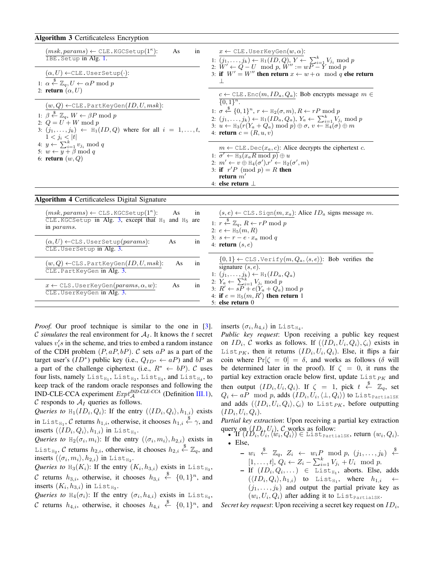## <span id="page-5-0"></span>Algorithm 3 Certificateless Encryption

| $(msk,params) \leftarrow \texttt{CLE.KGCSetup}(1^{\kappa})$ :<br>As<br>in<br>IBE. Setup in Alg. 1.<br>$(\alpha, U) \leftarrow$ CLE.UserSetup( $\cdot$ ):<br>1: $\alpha \stackrel{\$}{\leftarrow} \mathbb{Z}_q, U \leftarrow \alpha P \bmod p$<br>2: return $(\alpha, U)$<br>$(w, Q) \leftarrow$ CLE. PartKeyGen $(ID, U, msk)$ :<br>1: $\beta \stackrel{\$}{\leftarrow} \mathbb{Z}_q$ , $W \leftarrow \beta P \text{ mod } p$<br>2: $Q = U + W \bmod p$<br>3: $(j_1, \ldots, j_k) \leftarrow H_1(ID, Q)$ where for all $i = 1, \ldots, t$ ,<br>$1 < i_i <  t $<br>4: $y \leftarrow \sum_{i=1}^{k} v_{j_i} \mod q$<br>5: $w \leftarrow y + \beta \mod q$<br>6: return $(w, Q)$ | $x \leftarrow$ CLE.UserKeyGen $(w, \alpha)$ :<br>1: $(i_1,\ldots,i_k) \leftarrow H_1(ID,Q), Y \leftarrow \sum_{i=1}^k V_{j_i} \text{ mod } p$<br>2: $W' \leftarrow Q - U \mod p$ , $W'' := wP - Y \mod p$<br>3: if $W' = W''$ then return $x \leftarrow w + \alpha \mod q$ else return<br>$c \leftarrow \text{CLE. Enc}(m, ID_a, Q_a)$ : Bob encrypts message $m \in$<br>$\{0,1\}^n$ .<br>1: $\sigma \stackrel{\$}{\leftarrow} \{0,1\}^n$ , $r \leftarrow H_2(\sigma, m)$ , $R \leftarrow rP \mod p$<br>2: $(j_1, , j_k) \leftarrow H_1(ID_a, Q_a), Y_a \leftarrow \sum_{i=1}^k V_{i_i} \text{ mod } p$<br>3: $u \leftarrow H_3(r(Y_a + Q_a) \mod p) \oplus \sigma, v \leftarrow H_4(\sigma) \oplus m$<br>4: <b>return</b> $c = (R, u, v)$<br>$m \leftarrow$ CLE. Dec $(x_a, c)$ : Alice decrypts the ciphertext c.<br>1: $\overline{\sigma' \leftarrow H_3(x_a R \bmod p)} \oplus u$<br>2: $m' \leftarrow v \oplus H_4(\sigma'), r' \leftarrow H_2(\sigma', m)$<br>3: if $r'P \pmod{p} = R$ then<br>return $m'$<br>4: else return $\perp$ |
|-------------------------------------------------------------------------------------------------------------------------------------------------------------------------------------------------------------------------------------------------------------------------------------------------------------------------------------------------------------------------------------------------------------------------------------------------------------------------------------------------------------------------------------------------------------------------------------------------------------------------------------------------------------------------------|--------------------------------------------------------------------------------------------------------------------------------------------------------------------------------------------------------------------------------------------------------------------------------------------------------------------------------------------------------------------------------------------------------------------------------------------------------------------------------------------------------------------------------------------------------------------------------------------------------------------------------------------------------------------------------------------------------------------------------------------------------------------------------------------------------------------------------------------------------------------------------------------------------------------------------------------------------------------------------------------------------------------------------------------|
| <b>Algorithm 4</b> Certificateless Digital Signature                                                                                                                                                                                                                                                                                                                                                                                                                                                                                                                                                                                                                          |                                                                                                                                                                                                                                                                                                                                                                                                                                                                                                                                                                                                                                                                                                                                                                                                                                                                                                                                                                                                                                            |
| $(msk,params) \leftarrow \texttt{CLS}.$ KGCSetup $(1^{\kappa})$ :<br>As in<br>CLE.KGCSetup in Alg. 3, except that $H_1$ and $H_5$ are<br>in params.                                                                                                                                                                                                                                                                                                                                                                                                                                                                                                                           | $(s, e) \leftarrow \text{CLS}.$ Sign $(m, x_a)$ : Alice $ID_a$ signs message m.<br>1: $r \stackrel{\$}{\leftarrow} \mathbb{Z}_q$ , $R \leftarrow rP \mod p$<br>$ \sim$ $\sim$ $\sim$                                                                                                                                                                                                                                                                                                                                                                                                                                                                                                                                                                                                                                                                                                                                                                                                                                                       |

<span id="page-5-1"></span>

| in<br>$(\alpha, U) \leftarrow$ CLS.UserSetup(params):<br>As<br>4: return $(s, e)$<br>CLE. UserSetup in Alg. 3.<br>$(w,Q) \leftarrow$ CLS.PartKeyGen $(ID,U,msk)$ :<br>As<br>1n<br>signature $(s, e)$ .<br>CLE.PartKeyGen in Alg. 3.<br>1: $(j_1,\ldots,j_k) \leftarrow H_1(ID_a,Q_a)$<br>2: $Y_a \leftarrow \sum_{i=1}^k V_{j_i} \mod p$<br>in<br>$x \leftarrow$ CLS.UserKeyGen(params, $\alpha, w$ ):<br>As<br>3: $R' \leftarrow s\overline{P} + e(Y_a + Q_a) \bmod p$<br>CLE.UserKeyGen in Alg. 3.<br>4: if $e = H_5(m, R')$ then return 1 | CLE. KGCSetup in Alg. 3, except that $H_1$ and $H_5$ are<br>in params. |  | 1: $r \stackrel{\$}{\leftarrow} \mathbb{Z}_q$ , $R \leftarrow rP \mod p$<br>2: $e \leftarrow H_5(m, R)$ |
|----------------------------------------------------------------------------------------------------------------------------------------------------------------------------------------------------------------------------------------------------------------------------------------------------------------------------------------------------------------------------------------------------------------------------------------------------------------------------------------------------------------------------------------------|------------------------------------------------------------------------|--|---------------------------------------------------------------------------------------------------------|
|                                                                                                                                                                                                                                                                                                                                                                                                                                                                                                                                              |                                                                        |  | 3: $s \leftarrow r - e \cdot x_a \mod q$                                                                |
|                                                                                                                                                                                                                                                                                                                                                                                                                                                                                                                                              |                                                                        |  | $\{0,1\} \leftarrow \text{CLS}.\text{Verify}(m, Q_a, \langle s, e \rangle)$ : Bob verifies the          |
|                                                                                                                                                                                                                                                                                                                                                                                                                                                                                                                                              |                                                                        |  |                                                                                                         |

*Proof.* Our proof technique is similar to the one in [\[3\]](#page-10-7). C *simulates* the real environment for  $A_I$ . It knows the t secret values  $v_i$ 's in the scheme, and tries to embed a random instance of the CDH problem  $(P, aP, bP)$ . C sets  $aP$  as a part of the target user's  $(ID^*)$  public key (i.e.,  $Q_{ID^*} \leftarrow aP$ ) and bP as a part of the challenge ciphertext (i.e.,  $R^* \leftarrow bP$ ). C uses four lists, namely  $List_{H_1}$ ,  $List_{H_2}$ ,  $List_{H_3}$ , and  $List_{H_4}$ , to keep track of the random oracle responses and following the IND-CLE-CCA experiment  $Expt_{\mathcal{A}}^{IND-CLE-CCA}$  (Definition [III.1\)](#page-3-1),  $C$  responds to  $A_I$  queries as follows.

*Queries to*  $H_1(ID_i, Q_i)$ : If the entry  $(\langle ID_i, Q_i \rangle, h_{1,i})$  exists in List<sub>H<sub>1</sub></sub>, C returns  $h_{1,i}$ , otherwise, it chooses  $h_{1,i} \overset{\$}{\leftarrow} \gamma$ , and inserts  $(\langle ID_i, Q_i \rangle, h_{1,i})$  in List $_{\mathbb{H}_1}$ .

*Queries to*  $H_2(\sigma_i, m_i)$ : If the entry  $(\langle \sigma_i, m_i \rangle, h_{2,i})$  exists in List<sub>H2</sub>, C returns  $h_{2,i}$ , otherwise, it chooses  $h_{2,i} \overset{\$}{\leftarrow} \mathbb{Z}_q$ , and inserts  $(\langle \sigma_i, m_i \rangle, h_{2,i})$  in <code>List $_{\text{H}_2}$ .</code>

*Queries to*  $H_3(K_i)$ : If the entry  $(K_i, h_{3,i})$  exists in List $_{H_3}$ , C returns  $h_{3,i}$ , otherwise, it chooses  $h_{3,i} \leftarrow \{0,1\}^n$ , and inserts  $(K_i, h_{3,i})$  in List<sub>H3</sub>.

*Queries to*  $H_4(\sigma_i)$ : If the entry  $(\sigma_i, h_{4,i})$  exists in List<sub>H<sub>4</sub></sub>, C returns  $h_{4,i}$ , otherwise, it chooses  $h_{4,i} \stackrel{\$}{\leftarrow} \{0,1\}^n$ , and

inserts  $(\sigma_i, h_{4,i})$  in List<sub>H4</sub>.

*Public key request*: Upon receiving a public key request on  $ID_i$ , C works as follows. If  $(\langle ID_i, U_i, Q_i \rangle, \zeta_i)$  exists in List<sub>PK</sub>, then it returns  $(ID_i, U_i, Q_i)$ . Else, it flips a fair coin where  $Pr[\zeta = 0] = \delta$ , and works as follows ( $\delta$  will be determined later in the proof). If  $\zeta = 0$ , it runs the partial key extraction oracle below first, update  $List_{PK}$  and then output  $(ID_i, U_i, Q_i)$ . If  $\zeta = 1$ , pick  $t \stackrel{\$}{\leftarrow} \mathbb{Z}_q$ , set  $Q_i \leftarrow aP \mod p$ , adds  $(ID_i, U_i, \langle \bot, Q_i \rangle)$  to List $_{\texttt{PartialsK}}$ and adds  $(\langle ID_i, U_i, Q_i \rangle, \zeta_i)$  to List  $_{PK}$ , before outputting  $(ID_i, U_i, Q_i).$ 

*Partial key extraction*: Upon receiving a partial key extraction

query on  $(ID_i, U_i)$ ,  $\mathcal{C}$  works as follow:<br>• If  $(ID_i, U_i, \langle w_i, Q_i \rangle) \in \text{List}_{\text{PartialsK}}$ , return  $(w_i, Q_i)$ . • Else,

- 
$$
w_i \stackrel{\$} \leftarrow \mathbb{Z}_q
$$
,  $Z_i \leftarrow w_i P \mod p$ ,  $(j_1, \ldots, j_k) \stackrel{\$} \leftarrow$   
\n[1, \ldots, t],  $Q_i \leftarrow Z_i - \sum_{i=1}^k V_{j_i} + U_i \mod p$ .  
\n- If  $(ID_i, Q_i, \ldots) \in \text{List}_{H_1}$ , aborts. Else, adds  
\n $((ID_i, Q_i), h_{1,i})$  to  $\text{List}_{H_1}$ , where  $h_{1,i} \leftarrow$ 

 $(j_1, \ldots, j_k)$  and output the partial private key as  $(w_i, U_i, Q_i)$  after adding it to List  $P_{\text{artialsK}}$ .

*Secret key request*: Upon receiving a secret key request on  $ID_i$ ,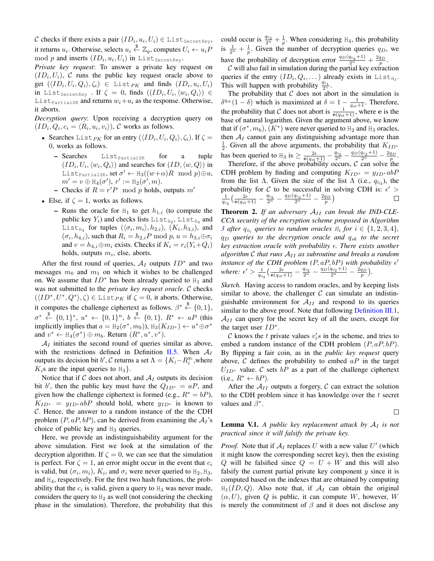C checks if there exists a pair  $(ID_i, u_i, U_i) \in \text{List}_{\text{SecretKey}},$ it returns  $u_i$ . Otherwise, selects  $u_i \stackrel{\$}{\leftarrow} \mathbb{Z}_q$ , computes  $U_i \leftarrow u_i P$  $\mod p$  and inserts  $(ID_i, u_i, U_i)$  in List  $_{\texttt{SecretKey}}$ .

*Private key request*: To answer a private key request on  $(ID_i, U_i), \mathcal{C}$  runs the public key request oracle above to get  $(\langle ID_i, U_i, Q_i \rangle, \zeta_i) \in \text{List}_{PK}$  and finds  $(ID_i, u_i, U_i)$ in List $s_{\text{secretKey}}$  . If  $\zeta = 0$ , finds  $((ID_i, U_i, \langle w_i, Q_i \rangle) \in$ List<sub>PartialSK</sub> and returns  $w_i+u_i$  as the response. Otherwise, it aborts.

*Decryption query*: Upon receiving a decryption query on  $(ID_i, Q_i, c_i = \langle R_i, u_i, v_i \rangle), C$  works as follows.

- Searches List  $p_K$  for an entry  $(\langle ID_i, U_i, Q_i \rangle, \zeta_i)$ . If  $\zeta =$ 0, works as follows.
	- $-$  Searches List<sub>PartialSK</sub> for a tuple  $(ID_i, U_i, \langle w_i, Q_i \rangle)$  and searches for  $(ID, \langle w, Q \rangle)$  in List<sub>PartialSK</sub>, set  $\sigma' \leftarrow H_3((w+\alpha)R \mod p)\oplus u$ ,  $m' = v \oplus H_4(\sigma'), r' := H_2(\sigma', m).$
	- Checks if  $R = r'P \mod p$  holds, outputs  $m'$
- Else, if  $\zeta = 1$ , works as follows.
	- Runs the oracle for  $H_1$  to get  $h_{1,i}$  (to compute the public key  $Y_i$ ) and checks lists  $List_{H_2}$ ,  $List_{H_3}$  and List $_{\mathbb{H}_4}$  for tuples  $(\langle \sigma_i, m_i \rangle, h_{2,i}),$   $(K_i, h_{3,i}),$  and  $(\sigma_i, h_{4,i})$ , such that  $R_i = h_{2,i}P \bmod p$ ,  $u = h_{3,i} \oplus \sigma_i$ and  $v = h_{4,i} \oplus m_i$  exists. Checks if  $K_i = r_i(Y_i + Q_i)$ holds, outputs  $m_i$ , else, aborts.

After the first round of queries,  $A_I$  outputs  $ID^*$  and two messages  $m_0$  and  $m_1$  on which it wishes to be challenged on. We assume that  $ID^*$  has been already queried to  $H_1$  and was not submitted to the *private key request oracle*. C checks  $(\langle ID^*, U^*, Q^* \rangle, \zeta) \in \text{List}_{PK}$  if  $\zeta = 0$ , it aborts. Otherwise, it computes the challenge ciphertext as follows.  $\beta^* \stackrel{\$}{\leftarrow} \{0,1\},\$  $\sigma^* \stackrel{\$}{\leftarrow} \{0,1\}^*, u^* \leftarrow \{0,1\}^n, b \stackrel{\$}{\leftarrow} \{0,1\}. R^* \leftarrow aP$  (this implicitly implies that  $a = H_2(\sigma^*, m_b)$ ,  $H_3(K_{ID^*}) \leftarrow u^* \oplus \sigma^*$ and  $v^* \leftarrow H_4(\sigma^*) \oplus m_b$ . Return  $(R^*, u^*, v^*)$ .

 $A_I$  initiates the second round of queries similar as above, with the restrictions defined in Definition [II.5.](#page-2-1) When  $A_I$ outputs its decision bit b', C returns a set  $\Lambda = \{K_i - R_i^{y_i}, \text{where}\}$  $K_i$ s are the input queries to  $H_3$ .

Notice that if  $C$  does not abort, and  $A_I$  outputs its decision bit b', then the public key must have the  $Q_{ID^*} = aP$ , and given how the challenge ciphertext is formed (e.g.,  $R^* = bP$ ),  $K_{ID^*} = y_{ID^*} abP$  should hold, where  $y_{ID^*}$  is known to  $C$ . Hence, the answer to a random instance of the the CDH problem  $(P, aP, bP)$ , can be derived from examining the  $A<sub>I</sub>$ 's choice of public key and  $H_3$  queries.

Here, we provide an indistinguishability argument for the above simulation. First we look at the simulation of the decryption algorithm. If  $\zeta = 0$ , we can see that the simulation is perfect. For  $\zeta = 1$ , an error might occur in the event that  $c_i$ is valid, but  $(\sigma_i, m_i)$ ,  $K_i$ , and  $\sigma_i$  were never queried to  $H_2, H_3$ , and  $H_4$ , respectively. For the first two hash functions, the probability that the  $c_i$  is valid, given a query to  $H_3$  was never made, considers the query to  $H_2$  as well (not considering the checking phase in the simulation). Therefore, the probability that this could occur is  $\frac{q_{\text{H}_2}}{2^n} + \frac{1}{p}$ . When considering H<sub>4</sub>, this probability is  $\frac{1}{2^n} + \frac{1}{p}$ . Given the number of decryption queries  $q_D$ , we have the probability of decryption error  $\frac{q_D(q_{\text{H}_2}+1)}{2^n} + \frac{2q_D}{p}$ .

 $\mathcal C$  will also fail in simulation during the partial key extraction queries if the entry  $(ID_i, Q_i, ...)$  already exists in List<sub>H1</sub>. This will happen with probability  $\frac{q_{\text{H}_1}}{2\gamma}$ .

The probability that  $C$  does not abort in the simulation is  $\delta^{q_{sk}}(1-\delta)$  which is maximized at  $\delta = 1 - \frac{1}{q_{sk}+1}$ . Therefore, the probability that C does not abort is  $\frac{1}{e(q_{sk}+1)}$ , where e is the base of natural logarithm. Given the argument above, we know that if  $(\sigma^*, m_b)$ ,  $(K^*)$  were never queried to  $H_2$  and  $H_3$  oracles, then  $A_I$  cannot gain any distinguishing advantage more than  $\frac{1}{2}$ . Given all the above arguments, the probability that  $K_{ID^*}$ has been queried to  $H_3$  is  $\geq \frac{2\epsilon}{e(q_{sk}+1)} - \frac{q_{H_2}}{2^n} - \frac{q_D(q_{H_2}+1)}{2^n} - \frac{2q_D}{p}$ .

Therefore, if the above probability occurs,  $\mathcal C$  can solve the CDH problem by finding and computing  $K_{ID^*} = y_{ID^*} abP$ from the list  $\Lambda$ . Given the size of the list  $\Lambda$  (i.e.,  $q_{\text{H}_3}$ ), the probability for C to be successful in solving CDH is:  $\epsilon'$  >  $\frac{1}{q_{\text{\tiny H}_3}} \big( \frac{2\epsilon}{\mathbf{e}(q_{sk}+1)} - \frac{q_{\text{\tiny H}_2}}{2^n} - \frac{q_D(q_{\text{\tiny H}_2}\!+\!1)}{2^n} - \frac{2q_D}{p} \big)$  $\Box$ 

Theorem 2. If an adversary  $A_{II}$  can break the IND-CLE-*CCA security of the encryption scheme proposed in Algorithm [3](#page-5-0) after*  $q_{H_i}$  *queries to random oracles*  $H_i$  *for*  $i \in \{1, 2, 3, 4\}$ *,*  $q_D$  *queries to the decryption oracle and*  $q_{sk}$  to the secret *key extraction oracle with probability ε. There exists another algorithm* C *that runs* AII *as subroutine and breaks a random instance of the CDH problem*  $(P, aP, bP)$  with probability  $\epsilon'$ *where:*  $\epsilon' > \frac{1}{q_{H_3}} \Big( \frac{2\epsilon}{\mathbf{e}(q_{sk}+1)} - \frac{q_{H_2}}{2^n} - \frac{q_D(q_{H_2}+1)}{2^n} - \frac{2q_D}{p} \Big).$ 

*Sketch.* Having access to random oracles, and by keeping lists similar to above, the challenger  $C$  can simulate an indistinguishable environment for  $A_{II}$  and respond to its queries similar to the above proof. Note that following [Definition III.1,](#page-3-1)  $A_{II}$  can query for the secret key of all the users, except for the target user  $ID^*$ .

C knows the t private values  $v_i$ 's in the scheme, and tries to embed a random instance of the CDH problem  $(P, aP, bP)$ . By flipping a fair coin, as in the *public key request* query above,  $\mathcal C$  defines the probability to embed  $aP$  in the target  $U_{ID*}$  value. C sets  $bP$  as a part of the challenge ciphertext  $(i.e., R^* \leftarrow bP).$ 

After the  $A_{II}$  outputs a forgery, C can extract the solution to the CDH problem since it has knowledge over the  $t$  secret values and  $\beta^*$ .

$$
\qquad \qquad \Box
$$

**Lemma V.1.** A public key replacement attack by  $A_I$  is not *practical since it will falsify the private key.*

*Proof.* Note that if  $A_I$  replaces U with a new value  $U'$  (which it might know the corresponding secret key), then the existing Q will be falsified since  $Q = U + W$  and this will also falsify the current partial private key component  $y$  since it is computed based on the indexes that are obtained by computing  $H_1(ID, Q)$ . Also note that, if  $A_I$  can obtain the original  $(\alpha, U)$ , given Q is public, it can compute W, however, W is merely the commitment of  $\beta$  and it does not disclose any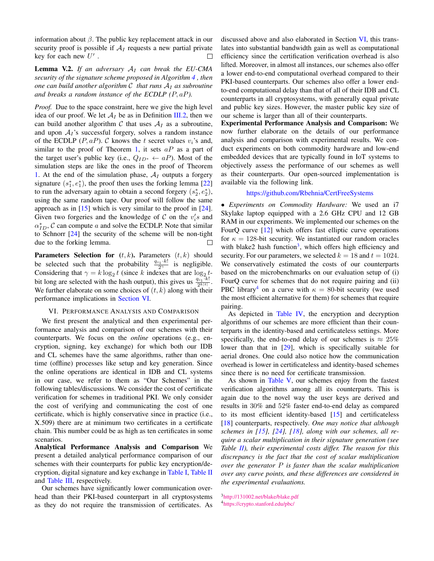information about  $β$ . The public key replacement attack in our security proof is possible if  $A_I$  requests a new partial private key for each new  $U'$ .

**Lemma V.2.** If an adversary  $A_I$  can break the EU-CMA *security of the signature scheme proposed in Algorithm [4](#page-5-1) , then one can build another algorithm*  $C$  *that runs*  $A_I$  *as subroutine and breaks a random instance of the ECDLP (*P, aP*).*

*Proof.* Due to the space constraint, here we give the high level idea of our proof. We let  $A_I$  be as in Definition [III.2,](#page-3-2) then we can build another algorithm  $C$  that uses  $A_I$  as a subroutine, and upon  $A_I$ 's successful forgery, solves a random instance of the ECDLP  $(P, aP)$ . C knows the t secret values  $v_i$ 's and, similar to the proof of Theorem [1,](#page-4-3) it sets  $aP$  as a part of the target user's public key (i.e.,  $Q_{ID^*} \leftarrow aP$ ). Most of the simulation steps are like the ones in the proof of Theorem [1.](#page-4-3) At the end of the simulation phase,  $A_I$  outputs a forgery signature  $(s_1^*, e_1^*)$ , the proof then uses the forking lemma [\[22\]](#page-10-16) to run the adversary again to obtain a second forgery  $(s_2^*, e_2^*)$ , using the same random tape. Our proof will follow the same approach as in [\[15\]](#page-10-11) which is very similar to the proof in [\[24\]](#page-10-9). Given two forgeries and the knowledge of  $C$  on the  $v_i$ 's and  $\alpha_{ID}^*$ , C can compute a and solve the ECDLP. Note that similar to Schnorr [\[24\]](#page-10-9) the security of the scheme will be non-tight due to the forking lemma.  $\Box$ 

**Parameters Selection for**  $(t, k)$ . Parameters  $(t, k)$  should be selected such that the probability  $\frac{q_{\text{H}_1} \cdot k!}{2\gamma}$  $rac{a_1 \cdot k_1}{2\gamma}$  is negligible. Considering that  $\gamma = k \log_2 t$  (since k indexes that are  $\log_2 t$ bit long are selected with the hash output), this gives us  $\frac{q_{\text{H}_1} \cdot k!}{2^{k_1 k_1}}$  $\frac{t\mathbb{H}_1\cdot \kappa_1}{2^{k|t|}}$ . We further elaborate on some choices of  $(t, k)$  along with their performance implications in [Section VI.](#page-7-0)

### VI. PERFORMANCE ANALYSIS AND COMPARISON

<span id="page-7-0"></span>We first present the analytical and then experimental performance analysis and comparison of our schemes with their counterparts. We focus on the *online* operations (e.g., encryption, signing, key exchange) for which both our IDB and CL schemes have the same algorithms, rather than onetime (offline) processes like setup and key generation. Since the online operations are identical in IDB and CL systems in our case, we refer to them as "Our Schemes" in the following tables/discussions. We consider the cost of certificate verification for schemes in traditional PKI. We only consider the cost of verifying and communicating the cost of one certificate, which is highly conservative since in practice (i.e., X.509) there are at minimum two certificates in a certificate chain. This number could be as high as ten certificates in some scenarios.

Analytical Performance Analysis and Comparison We present a detailed analytical performance comparison of our schemes with their counterparts for public key encryption/decryption, digital signature and key exchange in [Table I,](#page-8-0) [Table II](#page-8-1) and [Table III,](#page-8-2) respectively.

Our schemes have significantly lower communication overhead than their PKI-based counterpart in all cryptosystems as they do not require the transmission of certificates. As discussed above and also elaborated in Section [VI,](#page-9-0) this translates into substantial bandwidth gain as well as computational efficiency since the certification verification overhead is also lifted. Moreover, in almost all instances, our schemes also offer a lower end-to-end computational overhead compared to their PKI-based counterparts. Our schemes also offer a lower endto-end computational delay than that of all of their IDB and CL counterparts in all cryptosystems, with generally equal private and public key sizes. However, the master public key size of our scheme is larger than all of their counterparts.

Experimental Performance Analysis and Comparison: We now further elaborate on the details of our performance analysis and comparison with experimental results. We conduct experiments on both commodity hardware and low-end embedded devices that are typically found in IoT systems to objectively assess the performance of our schemes as well as their counterparts. Our open-sourced implementation is available via the following link.

## <https://github.com/Rbehnia/CertFreeSystems>

• *Experiments on Commodity Hardware:* We used an i7 Skylake laptop equipped with a 2.6 GHz CPU and 12 GB RAM in our experiments. We implemented our schemes on the FourQ curve [\[12\]](#page-10-5) which offers fast elliptic curve operations for  $\kappa = 128$ -bit security. We instantiated our random oracles with blake2 hash function<sup>[3](#page-0-0)</sup>, which offers high efficiency and security. For our parameters, we selected  $k = 18$  and  $t = 1024$ . We conservatively estimated the costs of our counterparts based on the microbenchmarks on our evaluation setup of (i) FourQ curve for schemes that do not require pairing and (ii) PBC library<sup>[4](#page-0-0)</sup> on a curve with  $\kappa = 80$ -bit security (we used the most efficient alternative for them) for schemes that require pairing.

As depicted in [Table IV,](#page-8-3) the encryption and decryption algorithms of our schemes are more efficient than their counterparts in the identity-based and certificateless settings. More specifically, the end-to-end delay of our schemes is  $\approx 25\%$ lower than that in [\[29\]](#page-11-0), which is specifically suitable for aerial drones. One could also notice how the communication overhead is lower in certificateless and identity-based schemes since there is no need for certificate transmission.

As shown in [Table V,](#page-9-1) our schemes enjoy from the fastest verification algorithms among all its counterparts. This is again due to the novel way the user keys are derived and results in 30% and 52% faster end-to-end delay as compared to its most efficient identity-based [\[15\]](#page-10-11) and certificateless [\[18\]](#page-10-17) counterparts, respectively. *One may notice that although schemes in [\[15\]](#page-10-11), [\[24\]](#page-10-9), [\[18\]](#page-10-17), along with our schemes, all require a scalar multiplication in their signature generation (see Table [II\)](#page-8-1), their experimental costs differ. The reason for this discrepancy is the fact that the cost of scalar multiplication over the generator* P *is faster than the scalar multiplication over any curve points, and these differences are considered in the experimental evaluations.*

<sup>3</sup><http://131002.net/blake/blake.pdf> <sup>4</sup><https://crypto.stanford.edu/pbc/>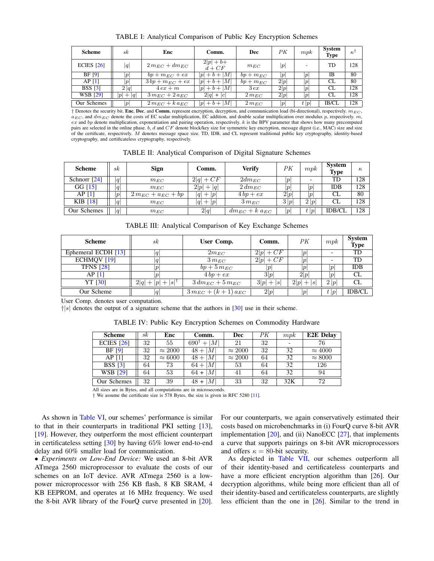<span id="page-8-0"></span>

| <b>Scheme</b>   | $_{sk}$      | Enc                 | Comm.                  | <b>Dec</b>    | РK  | mpk | <b>System</b><br><b>Type</b> | $\kappa^\dagger$ |
|-----------------|--------------|---------------------|------------------------|---------------|-----|-----|------------------------------|------------------|
| ECIES $[26]$    | q            | $2m_{EC} + dm_{EC}$ | $2 p  + b +$<br>$d+CF$ | $m_{EC}$      | p   |     | TD                           | 128              |
| BF[9]           | p            | $bp + m_{EC} + ex$  | $+ b +  M $<br> p      | $bp + m_{EC}$ | p   | p   | IB                           | 80               |
| $AP$ [1]        | p            | $3bp + m_{EC} + ex$ | ΙM<br> p <br>$+ b + 1$ | $bp + m_{EC}$ | 2 p | p   | CL                           | 80               |
| <b>BSS</b> [3]  | 2 q          | $4ex+m$             | $ p  + b +  M $        | $3\,ex$       | 2 p | p   | CL                           | 128              |
| <b>WSB</b> [29] | $+ q $<br> p | $3m_{EC}+2a_{EC}$   | $2 q  +  c $           | $2 m_{EC}$    | 2 p | p   | CL                           | 128              |
| Our Schemes     | p            | $2m_{EC}+k_{AEC}$   | М<br> p <br>$+ b +$    | $2\,m_{EC}$   | p   | t p | IB/CL                        | 128              |

TABLE I: Analytical Comparison of Public Key Encryption Schemes

 $\dagger$  Denotes the security bit. Enc, Dec, and Comm. represent encryption, decryption, and communication load (bi-directional), respectively.  $m_{EC}$ ,  $a_{EC}$ , and  $dm_{EC}$  denote the costs of EC scalar multiplication, EC addition, and double scalar multiplication over modulus p, respectively.  $m$ ,  $ex$  and bp denote multiplication, exponentiation and pairing operation, res pairs are selected in the online phase.  $b$ ,  $d$  and  $CF$  denote block/key size for symmetric key encryption, message digest (i.e., MAC) size and size of the certificate, respectively. M denotes message space size. TD, IDB, and CL represent traditional public key cryptography, identity-based cryptography, and certificateless cryptography, respectively.

| TABLE II: Analytical Comparison of Digital Signature Schemes |  |  |  |
|--------------------------------------------------------------|--|--|--|
|                                                              |  |  |  |

<span id="page-8-1"></span>

| <b>Scheme</b> | sк | <b>Sign</b>              | Comm.           | Verify               | РK                | mpk                      | <b>System</b><br><b>Type</b> | $\kappa$ |
|---------------|----|--------------------------|-----------------|----------------------|-------------------|--------------------------|------------------------------|----------|
| Schnorr [24]  | q  | $m_{EC}$                 | $2 q  + CF$     | $2dm_{EC}$           | p                 | $\overline{\phantom{0}}$ | TD                           | 128      |
| $GG$ [15]     | q  | $m_{EC}$                 | 2 p <br>$+  q $ | $2 dm_{EC}$          | $\left  p\right $ | p                        | <b>IDB</b>                   | 128      |
| $AP$ [1]      | p  | $2 m_{EC} + a_{EC} + bp$ | $+$  p <br>q    | $4bp + ex$           | 2 p               | p                        | CL                           | 80       |
| KIB $[18]$    | q  | $m_{EC}$                 | $+$  p <br>q    | $3\,m_{EC}$          | 3 p               | 2<br> p                  | CL                           | 128      |
| Our Schemes   | q  | $m_{EC}$                 | 2 q             | $dm_{EC} + k a_{EC}$ | p                 | t p                      | <b>IDB/CI</b>                | 128      |

TABLE III: Analytical Comparison of Key Exchange Schemes

<span id="page-8-2"></span>

| <b>Scheme</b>          | sk                 | User Comp.                | Comm.        | PК                                         | mpk | System<br><b>Type</b> |
|------------------------|--------------------|---------------------------|--------------|--------------------------------------------|-----|-----------------------|
| Ephemeral ECDH [13]    |                    | $2m_{EC}$                 | $2 p  + CF$  | p                                          |     | TD                    |
| ECHMQV <sup>[19]</sup> | $\vert q \vert$    | $3\,m_{EC}$               | $2 p  + CF$  | p                                          |     | TD                    |
| <b>TFNS</b> [28]       |                    | $bp + 5 m_{EC}$           | p            | p                                          | p   | <b>IDB</b>            |
| $AP$ [1]               |                    | $4bp + ex$                | 3 p          | 2 p                                        | p   | CL                    |
| <b>YT</b> [30]         | $2 q  +  p  +  s $ | $3dm_{EC} + 5m_{EC}$      | $3 p  +  s $ | 2 p <br>$\mathcal{S}_{\mathcal{S}}$<br>$+$ | 2 p | CL                    |
| Our Scheme             |                    | $3 m_{EC} + (k+1) a_{EC}$ | 2 p          | p                                          | t p | <b>IDB/CL</b>         |

User Comp. denotes user computation.

<span id="page-8-3"></span> $\frac{1}{s}$  denotes the output of a signature scheme that the authors in [\[30\]](#page-11-1) use in their scheme.

| <b>Scheme</b>   | sk | Enc            | Comm.                      | <b>Dec</b>     | PК | mpk | <b>E2E Delay</b> |
|-----------------|----|----------------|----------------------------|----------------|----|-----|------------------|
| ECIES $[26]$    | 32 | 55             | $+ M $<br>690 <sup>†</sup> | 21             | 32 |     | 76               |
| <b>BF</b> [9]   | 32 | $\approx 2000$ | $\overline{M}$<br>$48+$    | $\approx 2000$ | 32 | 32  | $\approx 4000$   |
| $AP$ [1]        | 32 | $\approx 6000$ | М<br>$48+$                 | $\approx 2000$ | 64 | 32  | $\approx 8000$   |
| <b>BSS</b> [3]  | 64 | 73             | М<br>$64+$                 | 53             | 64 | 32  | 126              |
| <b>WSB</b> [29] | 64 | 53             | $64 +$<br>М                | 41             | 64 | 32  | 94               |
| Our Schemes     | 32 | 39             | М                          | 33             | 32 | 32K | 72               |

TABLE IV: Public Key Encryption Schemes on Commodity Hardware

All sizes are in Bytes, and all computations are in microseconds.

† We assume the certificate size is 578 Bytes, the size is given in RFC 5280 [\[11\]](#page-10-22).

As shown in [Table VI,](#page-9-2) our schemes' performance is similar to that in their counterparts in traditional PKI setting [\[13\]](#page-10-19), [\[19\]](#page-10-20). However, they outperform the most efficient counterpart in certificateless setting [\[30\]](#page-11-1) by having 65% lower end-to-end delay and 60% smaller load for communication.

• *Experiments on Low-End Device:* We used an 8-bit AVR ATmega 2560 microprocessor to evaluate the costs of our schemes on an IoT device. AVR ATmega 2560 is a lowpower microprocessor with 256 KB flash, 8 KB SRAM, 4 KB EEPROM, and operates at 16 MHz frequency. We used the 8-bit AVR library of the FourQ curve presented in [\[20\]](#page-10-23). For our counterparts, we again conservatively estimated their costs based on microbenchmarks in (i) FourQ curve 8-bit AVR implementation [\[20\]](#page-10-23), and (ii) NanoECC [\[27\]](#page-10-24), that implements a curve that supports pairings on 8-bit AVR microprocessors and offers  $\kappa = 80$ -bit security.

As depicted in [Table VII,](#page-9-3) our schemes outperform all of their identity-based and certificateless counterparts and have a more efficient encryption algorithm than [\[26\]](#page-10-18). Our decryption algorithms, while being more efficient than all of their identity-based and certificateless counterparts, are slightly less efficient than the one in [\[26\]](#page-10-18). Similar to the trend in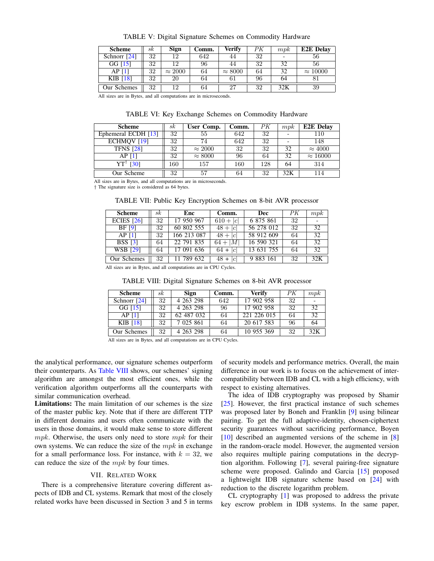<span id="page-9-1"></span>

| <b>Scheme</b>  | sк | Sign           | Comm. | Verify         | РK | mpk | <b>E2E Delay</b> |
|----------------|----|----------------|-------|----------------|----|-----|------------------|
| Schnorr $[24]$ | 32 | 12             | 642   | 44             | 32 |     | 56               |
| GG [15]        | 32 | 12             | 96    | 44             | 32 | 32  | 56               |
| $AP$ [1]       | 32 | $\approx 2000$ | 64    | $\approx 8000$ | 64 | 32  | $\approx 10000$  |
| KIB $[18]$     | 32 | 20             | 64    | 61             | 96 | 64  |                  |
| Our Schemes    | 32 | 12             | 64    | -27            | 32 | 32K | 39               |

TABLE V: Digital Signature Schemes on Commodity Hardware

All sizes are in Bytes, and all computations are in microseconds.

TABLE VI: Key Exchange Schemes on Commodity Hardware

<span id="page-9-2"></span><span id="page-9-0"></span>

| <b>Scheme</b>                              | sk  | User Comp.     | Comm. | PК  | mpk | <b>E2E</b> Delay |
|--------------------------------------------|-----|----------------|-------|-----|-----|------------------|
| Ephemeral ECDH [13]                        | 32  | 55             | 642   | 32  |     | 110              |
| <b>ECHMQV</b> [19]                         | 32  | 74             | 642   | 32  |     | 148              |
| <b>TFNS</b> [28]                           | 32  | $\approx 2000$ | 32    | 32  | 32  | $\approx 4000$   |
| $AP$ [1]                                   | 32  | $\approx 8000$ | 96    | 64  | 32  | $\approx 16000$  |
| $\lceil 30 \rceil$<br>$\rm YT^{\intercal}$ | 160 | 157            | 160   | 128 | 64  | 314              |
| Our Scheme                                 | 32  | 57             | 64    | 32  | 32K | 114              |

All sizes are in Bytes, and all computations are in microseconds.

<span id="page-9-3"></span>† The signature size is considered as 64 bytes.

TABLE VII: Public Key Encryption Schemes on 8-bit AVR processor

| <b>Scheme</b>   | sk | Enc         | Comm.                   | Dec        | PК | mpk |
|-----------------|----|-------------|-------------------------|------------|----|-----|
| ECIES $[26]$    | 32 | 17 950 967  | $610 +  c $             | 6 875 861  | 32 |     |
| BF[9]           | 32 | 60 802 555  | $48 +  c $              | 56 278 012 | 32 | 32  |
| $AP$ [1]        | 32 | 166 213 087 | $48 +  c $              | 58 912 609 | 64 | 32  |
| <b>BSS</b> [3]  | 64 | 22 791 835  | $64+ M $                | 16 590 321 | 64 | 32  |
| <b>WSB</b> [29] | 64 | 17 091 636  | $64 +$<br> c            | 13 631 755 | 64 | 32  |
| Our Schemes     | 32 | 11 789 632  | $48 +$<br>$\mathcal{C}$ | 9 883 161  | 32 | 32K |

<span id="page-9-4"></span>All sizes are in Bytes, and all computations are in CPU Cycles.

| TABLE VIII: Digital Signature Schemes on 8-bit AVR processor |  |  |  |  |
|--------------------------------------------------------------|--|--|--|--|
|--------------------------------------------------------------|--|--|--|--|

| <b>Scheme</b>     | sk | Sign       | Comm. | Verify      | РK | mpk |
|-------------------|----|------------|-------|-------------|----|-----|
| Schnorr [24]      | 32 | 4 263 298  | 642   | 17 902 958  | 32 |     |
| GG [15]           | 32 | 4 263 298  | 96    | 17 902 958  | 32 | 32  |
| AP <sub>[1]</sub> | 32 | 62 487 032 | 64    | 221 226 015 | 64 | 32  |
| KIB [18]          | 32 | 7 025 861  | 64    | 20 617 583  | 96 | 64  |
| Our Schemes       | 32 | 263 298    | 64    | 10 955 369  | 32 | 32K |

All sizes are in Bytes, and all computations are in CPU Cycles.

the analytical performance, our signature schemes outperform their counterparts. As [Table VIII](#page-9-4) shows, our schemes' signing algorithm are amongst the most efficient ones, while the verification algorithm outperforms all the counterparts with similar communication overhead.

Limitations: The main limitation of our schemes is the size of the master public key. Note that if there are different TTP in different domains and users often communicate with the users in those domains, it would make sense to store different  $mpk$ . Otherwise, the users only need to store  $mpk$  for their own systems. We can reduce the size of the  $mpk$  in exchange for a small performance loss. For instance, with  $k = 32$ , we can reduce the size of the  $mpk$  by four times.

## VII. RELATED WORK

There is a comprehensive literature covering different aspects of IDB and CL systems. Remark that most of the closely related works have been discussed in Section 3 and 5 in terms of security models and performance metrics. Overall, the main difference in our work is to focus on the achievement of intercompatibility between IDB and CL with a high efficiency, with respect to existing alternatives.

The idea of IDB cryptography was proposed by Shamir [\[25\]](#page-10-0). However, the first practical instance of such schemes was proposed later by Boneh and Franklin [\[9\]](#page-10-3) using bilinear pairing. To get the full adaptive-identity, chosen-ciphertext security guarantees without sacrificing performance, Boyen [\[10\]](#page-10-25) described an augmented versions of the scheme in [\[8\]](#page-10-26) in the random-oracle model. However, the augmented version also requires multiple pairing computations in the decryption algorithm. Following [\[7\]](#page-10-27), several pairing-free signature scheme were proposed. Galindo and Garcia [\[15\]](#page-10-11) proposed a lightweight IDB signature scheme based on [\[24\]](#page-10-9) with reduction to the discrete logarithm problem.

CL cryptography [\[1\]](#page-10-2) was proposed to address the private key escrow problem in IDB systems. In the same paper,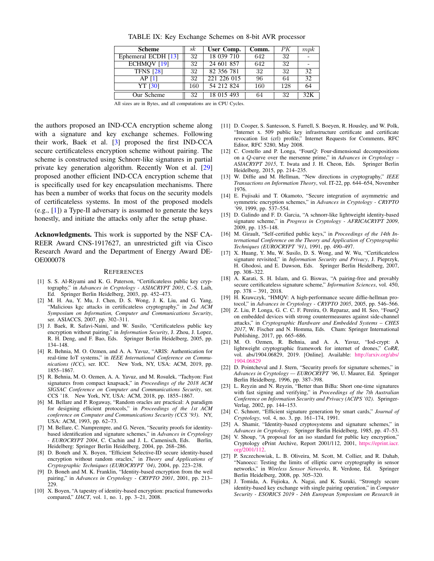| <b>Scheme</b>          | sk  | User Comp.  | Comm. | PК  | mpk |
|------------------------|-----|-------------|-------|-----|-----|
| Ephemeral ECDH [13]    | 32  | 18 039 710  | 642   | 32  |     |
| ECHMQV <sup>[19]</sup> | 32  | 24 601 857  | 642   | 32  |     |
| <b>TFNS [28]</b>       | 32  | 82 356 781  | 32    | 32  | 32  |
| $AP$ [1]               | 32  | 221 226 015 | 96    | 64  | 32  |
| <b>YT [30]</b>         | 160 | 54 212 824  | 160   | 128 | 64  |
| Our Scheme             | 32  | 18 015 493  | 64    | 32  | 32K |

TABLE IX: Key Exchange Schemes on 8-bit AVR processor

All sizes are in Bytes, and all computations are in CPU Cycles.

the authors proposed an IND-CCA encryption scheme along with a signature and key exchange schemes. Following their work, Baek et al. [\[3\]](#page-10-7) proposed the first IND-CCA secure certificateless encryption scheme without pairing. The scheme is constructed using Schnorr-like signatures in partial private key generation algorithm. Recently Won et al. [\[29\]](#page-11-0) proposed another efficient IND-CCA encryption scheme that is specifically used for key encapsulation mechanisms. There has been a number of works that focus on the security models of certificateless systems. In most of the proposed models (e.g., [\[1\]](#page-10-2)) a Type-II adversary is assumed to generate the keys honestly, and initiate the attacks only after the setup phase.

Acknowledgments. This work is supported by the NSF CA-REER Award CNS-1917627, an unrestricted gift via Cisco Research Award and the Department of Energy Award DE-OE000078

#### **REFERENCES**

- <span id="page-10-2"></span>[1] S. S. Al-Riyami and K. G. Paterson, "Certificateless public key cryptography," in *Advances in Cryptology - ASIACRYPT 2003*, C.-S. Laih, Ed. Springer Berlin Heidelberg, 2003, pp. 452–473.
- <span id="page-10-6"></span>[2] M. H. Au, Y. Mu, J. Chen, D. S. Wong, J. K. Liu, and G. Yang, "Malicious kgc attacks in certificateless cryptography," in *2nd ACM Symposium on Information, Computer and Communications Security*, ser. ASIACCS, 2007, pp. 302–311.
- <span id="page-10-7"></span>[3] J. Baek, R. Safavi-Naini, and W. Susilo, "Certificateless public key encryption without pairing," in *Information Security*, J. Zhou, J. Lopez, R. H. Deng, and F. Bao, Eds. Springer Berlin Heidelberg, 2005, pp. 134–148.
- <span id="page-10-13"></span>[4] R. Behnia, M. O. Ozmen, and A. A. Yavuz, "ARIS: Authentication for real-time IoT systems," in *IEEE International Conference on Communications (ICC)*, ser. ICC. New York, NY, USA: ACM, 2019, pp. 1855–1867.
- <span id="page-10-12"></span>[5] R. Behnia, M. O. Ozmen, A. A. Yavuz, and M. Rosulek, "Tachyon: Fast signatures from compact knapsack," in *Proceedings of the 2018 ACM SIGSAC Conference on Computer and Communications Security*, ser. CCS '18. New York, NY, USA: ACM, 2018, pp. 1855–1867.
- <span id="page-10-4"></span>[6] M. Bellare and P. Rogaway, "Random oracles are practical: A paradigm for designing efficient protocols," in *Proceedings of the 1st ACM conference on Computer and Communications Security (CCS '93)*. NY, USA: ACM, 1993, pp. 62–73.
- <span id="page-10-27"></span>[7] M. Bellare, C. Namprempre, and G. Neven, "Security proofs for identitybased identification and signature schemes," in *Advances in Cryptology - EUROCRYPT 2004*, C. Cachin and J. L. Camenisch, Eds. Berlin, Heidelberg: Springer Berlin Heidelberg, 2004, pp. 268–286.
- <span id="page-10-26"></span>[8] D. Boneh and X. Boyen, "Efficient Selective-ID secure identity-based encryption without random oracles," in *Theory and Applications of Cryptographic Techniques (EUROCRYPT '04)*, 2004, pp. 223–238.
- <span id="page-10-3"></span>[9] D. Boneh and M. K. Franklin, "Identity-based encryption from the weil pairing," in *Advances in Cryptology - CRYPTO 2001*, 2001, pp. 213– 229.
- <span id="page-10-25"></span>[10] X. Boyen, "A tapestry of identity-based encryption: practical frameworks compared," *IJACT*, vol. 1, no. 1, pp. 3–21, 2008.
- <span id="page-10-22"></span>[11] D. Cooper, S. Santesson, S. Farrell, S. Boeyen, R. Housley, and W. Polk, "Internet x. 509 public key infrastructure certificate and certificate revocation list (crl) profile," Internet Requests for Comments, RFC Editor, RFC 5280, May 2008.
- <span id="page-10-5"></span>[12] C. Costello and P. Longa, "FourQ: Four-dimensional decompositions on a Q-curve over the mersenne prime," in *Advances in Cryptology – ASIACRYPT 2015*, T. Iwata and J. H. Cheon, Eds. Springer Berlin Heidelberg, 2015, pp. 214–235.
- <span id="page-10-19"></span>[13] W. Diffie and M. Hellman, "New directions in cryptography," *IEEE Transactions on Information Theory*, vol. IT-22, pp. 644–654, November 1976.
- <span id="page-10-14"></span>[14] E. Fujisaki and T. Okamoto, "Secure integration of asymmetric and symmetric encryption schemes," in *Advances in Cryptology - CRYPTO '99*, 1999, pp. 537–554.
- <span id="page-10-11"></span>[15] D. Galindo and F. D. Garcia, "A schnorr-like lightweight identity-based signature scheme," in *Progress in Cryptology - AFRICACRYPT 2009*, 2009, pp. 135–148.
- <span id="page-10-15"></span>[16] M. Girault, "Self-certified public keys," in *Proceedings of the 14th International Conference on the Theory and Application of Cryptographic Techniques (EUROCRYPT '91)*, 1991, pp. 490–497.
- <span id="page-10-8"></span>[17] X. Huang, Y. Mu, W. Susilo, D. S. Wong, and W. Wu, "Certificateless signature revisited," in *Information Security and Privacy*, J. Pieprzyk, H. Ghodosi, and E. Dawson, Eds. Springer Berlin Heidelberg, 2007, pp. 308–322.
- <span id="page-10-17"></span>[18] A. Karati, S. H. Islam, and G. Biswas, "A pairing-free and provably secure certificateless signature scheme," *Information Sciences*, vol. 450, pp. 378 – 391, 2018.
- <span id="page-10-20"></span>[19] H. Krawczyk, "HMQV: A high-performance secure diffie-hellman protocol," in *Advances in Cryptology - CRYPTO 2005*, 2005, pp. 546–566.
- <span id="page-10-23"></span>[20] Z. Liu, P. Longa, G. C. C. F. Pereira, O. Reparaz, and H. Seo, "FourQ on embedded devices with strong countermeasures against side-channel attacks," in *Cryptographic Hardware and Embedded Systems – CHES 2017*, W. Fischer and N. Homma, Eds. Cham: Springer International Publishing, 2017, pp. 665–686.
- <span id="page-10-1"></span>[21] M. O. Ozmen, R. Behnia, and A. A. Yavuz, "Iod-crypt: A lightweight cryptographic framework for internet of drones," *CoRR*, vol. abs/1904.06829, 2019. [Online]. Available: [http://arxiv.org/abs/](http://arxiv.org/abs/1904.06829) [1904.06829](http://arxiv.org/abs/1904.06829)
- <span id="page-10-16"></span>[22] D. Pointcheval and J. Stern, "Security proofs for signature schemes," in *Advances in Cryptology — EUROCRYPT '96*, U. Maurer, Ed. Springer Berlin Heidelberg, 1996, pp. 387–398.
- <span id="page-10-10"></span>[23] L. Reyzin and N. Reyzin, "Better than BiBa: Short one-time signatures with fast signing and verifying," in *Proceedings of the 7th Australian Conference on Information Security and Privacy (ACIPS '02)*. Springer-Verlag, 2002, pp. 144–153.
- <span id="page-10-9"></span>[24] C. Schnorr, "Efficient signature generation by smart cards," *Journal of Cryptology*, vol. 4, no. 3, pp. 161–174, 1991.
- <span id="page-10-0"></span>[25] A. Shamir, "Identity-based cryptosystems and signature schemes," in *Advances in Cryptology*. Springer Berlin Heidelberg, 1985, pp. 47–53.
- <span id="page-10-18"></span>[26] V. Shoup, "A proposal for an iso standard for public key encryption," Cryptology ePrint Archive, Report 2001/112, 2001, [https://eprint.iacr.](https://eprint.iacr.org/2001/112) [org/2001/112.](https://eprint.iacr.org/2001/112)
- <span id="page-10-24"></span>[27] P. Szczechowiak, L. B. Oliveira, M. Scott, M. Collier, and R. Dahab, "Nanoecc: Testing the limits of elliptic curve cryptography in sensor networks," in *Wireless Sensor Networks*, R. Verdone, Ed. Springer Berlin Heidelberg, 2008, pp. 305–320.
- <span id="page-10-21"></span>[28] J. Tomida, A. Fujioka, A. Nagai, and K. Suzuki, "Strongly secure identity-based key exchange with single pairing operation," in *Computer Security - ESORICS 2019 - 24th European Symposium on Research in*